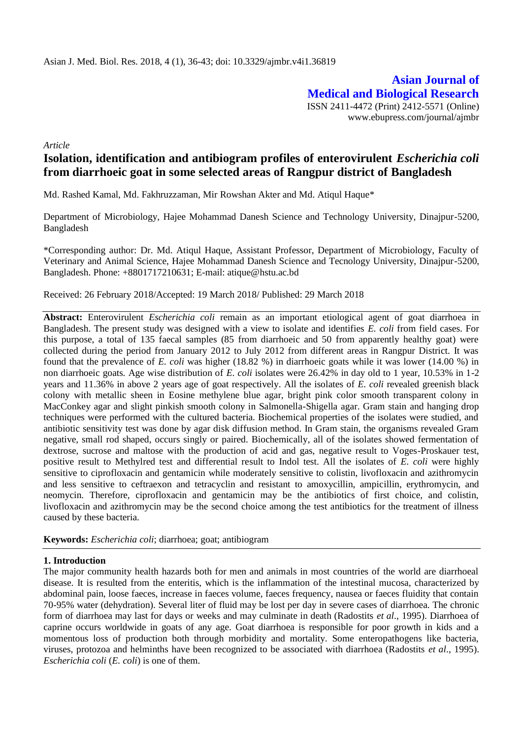**Asian Journal of Medical and Biological Research** ISSN 2411-4472 (Print) 2412-5571 (Online) www.ebupress.com/journal/ajmbr

*Article*

# **Isolation, identification and antibiogram profiles of enterovirulent** *Escherichia coli*  **from diarrhoeic goat in some selected areas of Rangpur district of Bangladesh**

Md. Rashed Kamal, Md. Fakhruzzaman, Mir Rowshan Akter and Md. Atiqul Haque\*

Department of Microbiology, Hajee Mohammad Danesh Science and Technology University, Dinajpur-5200, Bangladesh

\*Corresponding author: Dr. Md. Atiqul Haque, Assistant Professor, Department of Microbiology, Faculty of Veterinary and Animal Science, Hajee Mohammad Danesh Science and Tecnology University, Dinajpur-5200, Bangladesh. Phone: +8801717210631; E-mail: atique@hstu.ac.bd

### Received: 26 February 2018/Accepted: 19 March 2018/ Published: 29 March 2018

**Abstract:** Enterovirulent *Escherichia coli* remain as an important etiological agent of goat diarrhoea in Bangladesh. The present study was designed with a view to isolate and identifies *E. coli* from field cases. For this purpose, a total of 135 faecal samples (85 from diarrhoeic and 50 from apparently healthy goat) were collected during the period from January 2012 to July 2012 from different areas in Rangpur District. It was found that the prevalence of *E. coli* was higher (18.82 %) in diarrhoeic goats while it was lower (14.00 %) in non diarrhoeic goats. Age wise distribution of *E. coli* isolates were 26.42% in day old to 1 year, 10.53% in 1-2 years and 11.36% in above 2 years age of goat respectively. All the isolates of *E. coli* revealed greenish black colony with metallic sheen in Eosine methylene blue agar, bright pink color smooth transparent colony in MacConkey agar and slight pinkish smooth colony in Salmonella-Shigella agar. Gram stain and hanging drop techniques were performed with the cultured bacteria. Biochemical properties of the isolates were studied, and antibiotic sensitivity test was done by agar disk diffusion method. In Gram stain, the organisms revealed Gram negative, small rod shaped, occurs singly or paired. Biochemically, all of the isolates showed fermentation of dextrose, sucrose and maltose with the production of acid and gas, negative result to Voges-Proskauer test, positive result to Methylred test and differential result to Indol test. All the isolates of *E. coli* were highly sensitive to ciprofloxacin and gentamicin while moderately sensitive to colistin, livofloxacin and azithromycin and less sensitive to ceftraexon and tetracyclin and resistant to amoxycillin, ampicillin, erythromycin, and neomycin. Therefore, ciprofloxacin and gentamicin may be the antibiotics of first choice, and colistin, livofloxacin and azithromycin may be the second choice among the test antibiotics for the treatment of illness caused by these bacteria.

**Keywords:** *Escherichia coli*; diarrhoea; goat; antibiogram

### **1. Introduction**

The major community health hazards both for men and animals in most countries of the world are diarrhoeal disease. It is resulted from the enteritis, which is the inflammation of the intestinal mucosa, characterized by abdominal pain, loose faeces, increase in faeces volume, faeces frequency, nausea or faeces fluidity that contain 70-95% water (dehydration). Several liter of fluid may be lost per day in severe cases of diarrhoea. The chronic form of diarrhoea may last for days or weeks and may culminate in death (Radostits *et al*., 1995). Diarrhoea of caprine occurs worldwide in goats of any age. Goat diarrhoea is responsible for poor growth in kids and a momentous loss of production both through morbidity and mortality. Some enteropathogens like bacteria, viruses, protozoa and helminths have been recognized to be associated with diarrhoea (Radostits *et al*., 1995). *Escherichia coli* (*E. coli*) is one of them.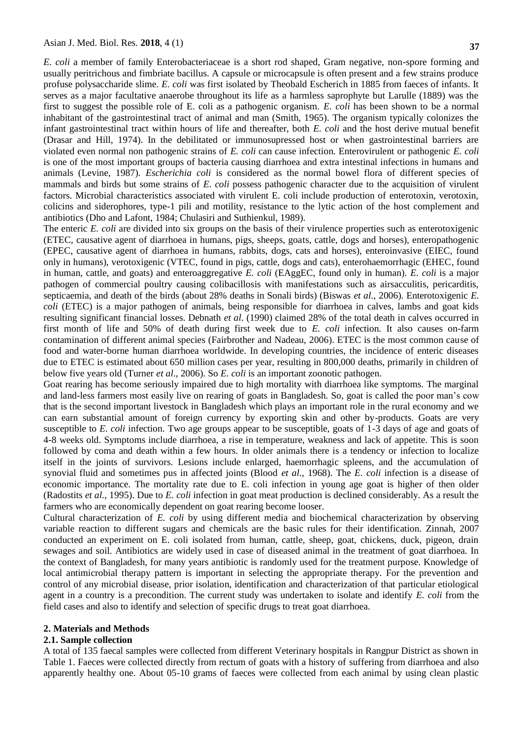**37**

*E. coli* a member of family Enterobacteriaceae is a short rod shaped, Gram negative, non-spore forming and usually peritrichous and fimbriate bacillus. A capsule or microcapsule is often present and a few strains produce profuse polysaccharide slime. *E. coli* was first isolated by Theobald Escherich in 1885 from faeces of infants. It serves as a major facultative anaerobe throughout its life as a harmless saprophyte but Larulle (1889) was the first to suggest the possible role of E. coli as a pathogenic organism. *E. coli* has been shown to be a normal inhabitant of the gastrointestinal tract of animal and man (Smith, 1965). The organism typically colonizes the infant gastrointestinal tract within hours of life and thereafter, both *E. coli* and the host derive mutual benefit (Drasar and Hill, 1974). In the debilitated or immunosupressed host or when gastrointestinal barriers are violated even normal non pathogenic strains of *E. coli* can cause infection. Enterovirulent or pathogenic *E. coli* is one of the most important groups of bacteria causing diarrhoea and extra intestinal infections in humans and animals (Levine, 1987). *Escherichia coli* is considered as the normal bowel flora of different species of mammals and birds but some strains of *E. coli* possess pathogenic character due to the acquisition of virulent factors. Microbial characteristics associated with virulent E. coli include production of enterotoxin, verotoxin, colicins and siderophores, type-1 pili and motility, resistance to the lytic action of the host complement and antibiotics (Dho and Lafont, 1984; Chulasiri and Suthienkul, 1989).

The enteric *E. coli* are divided into six groups on the basis of their virulence properties such as enterotoxigenic (ETEC, causative agent of diarrhoea in humans, pigs, sheeps, goats, cattle, dogs and horses), enteropathogenic (EPEC, causative agent of diarrhoea in humans, rabbits, dogs, cats and horses), enteroinvasive (EIEC, found only in humans), verotoxigenic (VTEC, found in pigs, cattle, dogs and cats), enterohaemorrhagic (EHEC, found in human, cattle, and goats) and enteroaggregative *E. coli* (EAggEC, found only in human). *E. coli* is a major pathogen of commercial poultry causing colibacillosis with manifestations such as airsacculitis, pericarditis, septicaemia, and death of the birds (about 28% deaths in Sonali birds) (Biswas *et al*., 2006). Enterotoxigenic *E. coli* (ETEC) is a major pathogen of animals, being responsible for diarrhoea in calves, lambs and goat kids resulting significant financial losses. Debnath *et al*. (1990) claimed 28% of the total death in calves occurred in first month of life and 50% of death during first week due to *E. coli* infection. It also causes on-farm contamination of different animal species (Fairbrother and Nadeau, 2006). ETEC is the most common cause of food and water-borne human diarrhoea worldwide. In developing countries, the incidence of enteric diseases due to ETEC is estimated about 650 million cases per year, resulting in 800,000 deaths, primarily in children of below five years old (Turner *et al*., 2006). So *E. coli* is an important zoonotic pathogen.

Goat rearing has become seriously impaired due to high mortality with diarrhoea like symptoms. The marginal and land-less farmers most easily live on rearing of goats in Bangladesh. So, goat is called the poor man's cow that is the second important livestock in Bangladesh which plays an important role in the rural economy and we can earn substantial amount of foreign currency by exporting skin and other by-products. Goats are very susceptible to *E. coli* infection. Two age groups appear to be susceptible, goats of 1-3 days of age and goats of 4-8 weeks old. Symptoms include diarrhoea, a rise in temperature, weakness and lack of appetite. This is soon followed by coma and death within a few hours. In older animals there is a tendency or infection to localize itself in the joints of survivors. Lesions include enlarged, haemorrhagic spleens, and the accumulation of synovial fluid and sometimes pus in affected joints (Blood *et al*., 1968). The *E. coli* infection is a disease of economic importance. The mortality rate due to E. coli infection in young age goat is higher of then older (Radostits *et al*., 1995). Due to *E. coli* infection in goat meat production is declined considerably. As a result the farmers who are economically dependent on goat rearing become looser.

Cultural characterization of *E. coli* by using different media and biochemical characterization by observing variable reaction to different sugars and chemicals are the basic rules for their identification. Zinnah, 2007 conducted an experiment on E. coli isolated from human, cattle, sheep, goat, chickens, duck, pigeon, drain sewages and soil. Antibiotics are widely used in case of diseased animal in the treatment of goat diarrhoea. In the context of Bangladesh, for many years antibiotic is randomly used for the treatment purpose. Knowledge of local antimicrobial therapy pattern is important in selecting the appropriate therapy. For the prevention and control of any microbial disease, prior isolation, identification and characterization of that particular etiological agent in a country is a precondition. The current study was undertaken to isolate and identify *E. coli* from the field cases and also to identify and selection of specific drugs to treat goat diarrhoea.

#### **2. Materials and Methods**

### **2.1. Sample collection**

A total of 135 faecal samples were collected from different Veterinary hospitals in Rangpur District as shown in Table 1. Faeces were collected directly from rectum of goats with a history of suffering from diarrhoea and also apparently healthy one. About 05-10 grams of faeces were collected from each animal by using clean plastic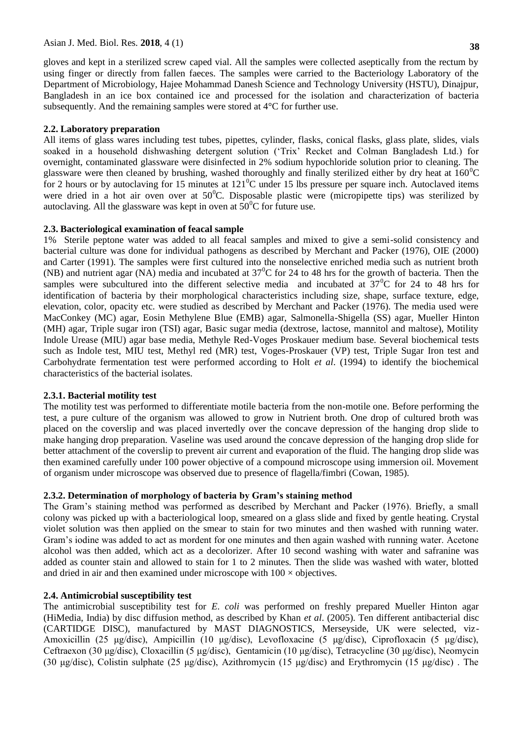gloves and kept in a sterilized screw caped vial. All the samples were collected aseptically from the rectum by using finger or directly from fallen faeces. The samples were carried to the Bacteriology Laboratory of the Department of Microbiology, Hajee Mohammad Danesh Science and Technology University (HSTU), Dinajpur, Bangladesh in an ice box contained ice and processed for the isolation and characterization of bacteria subsequently. And the remaining samples were stored at 4°C for further use.

### **2.2. Laboratory preparation**

All items of glass wares including test tubes, pipettes, cylinder, flasks, conical flasks, glass plate, slides, vials soaked in a household dishwashing detergent solution ('Trix' Recket and Colman Bangladesh Ltd.) for overnight, contaminated glassware were disinfected in 2% sodium hypochloride solution prior to cleaning. The glassware were then cleaned by brushing, washed thoroughly and finally sterilized either by dry heat at  $160^{\circ}$ C for 2 hours or by autoclaving for 15 minutes at  $121^{\circ}$ C under 15 lbs pressure per square inch. Autoclaved items were dried in a hot air oven over at  $50^{\circ}$ C. Disposable plastic were (micropipette tips) was sterilized by autoclaving. All the glassware was kept in oven at  $50^{\circ}$ C for future use.

# **2.3. Bacteriological examination of feacal sample**

1% Sterile peptone water was added to all feacal samples and mixed to give a semi-solid consistency and bacterial culture was done for individual pathogens as described by Merchant and Packer (1976), OIE (2000) and Carter (1991). The samples were first cultured into the nonselective enriched media such as nutrient broth (NB) and nutrient agar (NA) media and incubated at  $37^{\circ}$ C for 24 to 48 hrs for the growth of bacteria. Then the samples were subcultured into the different selective media and incubated at  $37^{\circ}$ C for 24 to 48 hrs for identification of bacteria by their morphological characteristics including size, shape, surface texture, edge, elevation, color, opacity etc. were studied as described by Merchant and Packer (1976). The media used were MacConkey (MC) agar, Eosin Methylene Blue (EMB) agar, Salmonella-Shigella (SS) agar, Mueller Hinton (MH) agar, Triple sugar iron (TSI) agar, Basic sugar media (dextrose, lactose, mannitol and maltose), Motility Indole Urease (MIU) agar base media, Methyle Red-Voges Proskauer medium base. Several biochemical tests such as Indole test, MIU test, Methyl red (MR) test, Voges-Proskauer (VP) test, Triple Sugar Iron test and Carbohydrate fermentation test were performed according to Holt *et al*. (1994) to identify the biochemical characteristics of the bacterial isolates.

### **2.3.1. Bacterial motility test**

The motility test was performed to differentiate motile bacteria from the non-motile one. Before performing the test, a pure culture of the organism was allowed to grow in Nutrient broth. One drop of cultured broth was placed on the coverslip and was placed invertedly over the concave depression of the hanging drop slide to make hanging drop preparation. Vaseline was used around the concave depression of the hanging drop slide for better attachment of the coverslip to prevent air current and evaporation of the fluid. The hanging drop slide was then examined carefully under 100 power objective of a compound microscope using immersion oil. Movement of organism under microscope was observed due to presence of flagella/fimbri (Cowan, 1985).

# **2.3.2. Determination of morphology of bacteria by Gram's staining method**

The Gram's staining method was performed as described by Merchant and Packer (1976). Briefly, a small colony was picked up with a bacteriological loop, smeared on a glass slide and fixed by gentle heating. Crystal violet solution was then applied on the smear to stain for two minutes and then washed with running water. Gram's iodine was added to act as mordent for one minutes and then again washed with running water. Acetone alcohol was then added, which act as a decolorizer. After 10 second washing with water and safranine was added as counter stain and allowed to stain for 1 to 2 minutes. Then the slide was washed with water, blotted and dried in air and then examined under microscope with  $100 \times$  objectives.

# **2.4. Antimicrobial susceptibility test**

The antimicrobial susceptibility test for *E. coli* was performed on freshly prepared Mueller Hinton agar (HiMedia, India) by disc diffusion method, as described by Khan *et al*. (2005). Ten different antibacterial disc (CARTIDGE DISC), manufactured by MAST DIAGNOSTICS, Merseyside, UK were selected, viz-Amoxicillin (25 μg/disc), Ampicillin (10 μg/disc), Levofloxacine (5 μg/disc), Ciprofloxacin (5 μg/disc), Ceftraexon (30 μg/disc), Cloxacillin (5 μg/disc), Gentamicin (10 μg/disc), Tetracycline (30 μg/disc), Neomycin (30 μg/disc), Colistin sulphate (25 μg/disc), Azithromycin (15 μg/disc) and Erythromycin (15 μg/disc) . The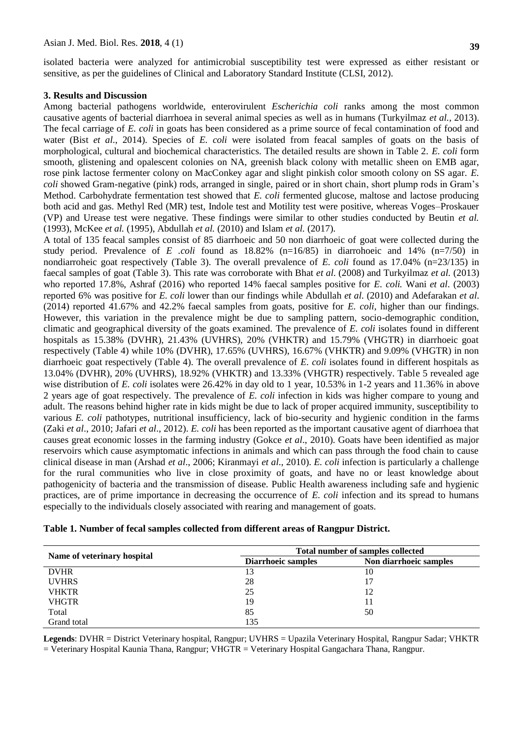isolated bacteria were analyzed for antimicrobial susceptibility test were expressed as either resistant or sensitive, as per the guidelines of Clinical and Laboratory Standard Institute (CLSI, 2012).

#### **3. Results and Discussion**

Among bacterial pathogens worldwide, enterovirulent *Escherichia coli* ranks among the most common causative agents of bacterial diarrhoea in several animal species as well as in humans (Turkyilmaz *et al.*, 2013). The fecal carriage of *E. coli* in goats has been considered as a prime source of fecal contamination of food and water (Bist *et al*., 2014). Species of *E. coli* were isolated from feacal samples of goats on the basis of morphological, cultural and biochemical characteristics. The detailed results are shown in Table 2. *E. coli* form smooth, glistening and opalescent colonies on NA, greenish black colony with metallic sheen on EMB agar, rose pink lactose fermenter colony on MacConkey agar and slight pinkish color smooth colony on SS agar. *E. coli* showed Gram-negative (pink) rods, arranged in single, paired or in short chain, short plump rods in Gram's Method. Carbohydrate fermentation test showed that *E. coli* fermented glucose, maltose and lactose producing both acid and gas. Methyl Red (MR) test, Indole test and Motility test were positive, whereas Voges–Proskauer (VP) and Urease test were negative. These findings were similar to other studies conducted by Beutin *et al.* (1993), McKee *et al.* (1995), Abdullah *et al.* (2010) and Islam *et al.* (2017).

A total of 135 feacal samples consist of 85 diarrhoeic and 50 non diarrhoeic of goat were collected during the study period. Prevalence of *E .coli* found as 18.82% (n=16/85) in diarrohoeic and 14% (n=7/50) in nondiarroheic goat respectively (Table 3). The overall prevalence of *E. coli* found as 17.04% (n=23/135) in faecal samples of goat (Table 3). This rate was corroborate with Bhat *et al*. (2008) and Turkyilmaz *et al.* (2013) who reported 17.8%, Ashraf (2016) who reported 14% faecal samples positive for *E. coli.* Wani *et al*. (2003) reported 6% was positive for *E. coli* lower than our findings while Abdullah *et al*. (2010) and Adefarakan *et al*. (2014) reported 41.67% and 42.2% faecal samples from goats, positive for *E. coli*, higher than our findings. However, this variation in the prevalence might be due to sampling pattern, socio-demographic condition, climatic and geographical diversity of the goats examined. The prevalence of *E. coli* isolates found in different hospitals as 15.38% (DVHR), 21.43% (UVHRS), 20% (VHKTR) and 15.79% (VHGTR) in diarrhoeic goat respectively (Table 4) while 10% (DVHR), 17.65% (UVHRS), 16.67% (VHKTR) and 9.09% (VHGTR) in non diarrhoeic goat respectively (Table 4). The overall prevalence of *E. coli* isolates found in different hospitals as 13.04% (DVHR), 20% (UVHRS), 18.92% (VHKTR) and 13.33% (VHGTR) respectively. Table 5 revealed age wise distribution of *E. coli* isolates were 26.42% in day old to 1 year, 10.53% in 1-2 years and 11.36% in above 2 years age of goat respectively. The prevalence of *E. coli* infection in kids was higher compare to young and adult. The reasons behind higher rate in kids might be due to lack of proper acquired immunity, susceptibility to various *E. coli* pathotypes, nutritional insufficiency, lack of bio-security and hygienic condition in the farms (Zaki *et al*., 2010; Jafari *et al*., 2012). *E. coli* has been reported as the important causative agent of diarrhoea that causes great economic losses in the farming industry (Gokce *et al*., 2010). Goats have been identified as major reservoirs which cause asymptomatic infections in animals and which can pass through the food chain to cause clinical disease in man (Arshad *et al*., 2006; Kiranmayi *et al*., 2010). *E. coli* infection is particularly a challenge for the rural communities who live in close proximity of goats, and have no or least knowledge about pathogenicity of bacteria and the transmission of disease. Public Health awareness including safe and hygienic practices, are of prime importance in decreasing the occurrence of *E. coli* infection and its spread to humans especially to the individuals closely associated with rearing and management of goats.

|                             | <b>Total number of samples collected</b> |                        |  |  |
|-----------------------------|------------------------------------------|------------------------|--|--|
| Name of veterinary hospital | Diarrhoeic samples                       | Non diarrhoeic samples |  |  |
| <b>DVHR</b>                 | 13                                       | 10                     |  |  |
| <b>UVHRS</b>                | 28                                       | 17                     |  |  |
| <b>VHKTR</b>                | 25                                       | 12                     |  |  |
| <b>VHGTR</b>                | 19                                       |                        |  |  |
| Total                       | 85                                       | 50                     |  |  |
| Grand total                 | 135                                      |                        |  |  |

| Table 1. Number of fecal samples collected from different areas of Rangpur District. |  |  |  |
|--------------------------------------------------------------------------------------|--|--|--|
|--------------------------------------------------------------------------------------|--|--|--|

**Legends**: DVHR = District Veterinary hospital, Rangpur; UVHRS = Upazila Veterinary Hospital, Rangpur Sadar; VHKTR = Veterinary Hospital Kaunia Thana, Rangpur; VHGTR = Veterinary Hospital Gangachara Thana, Rangpur.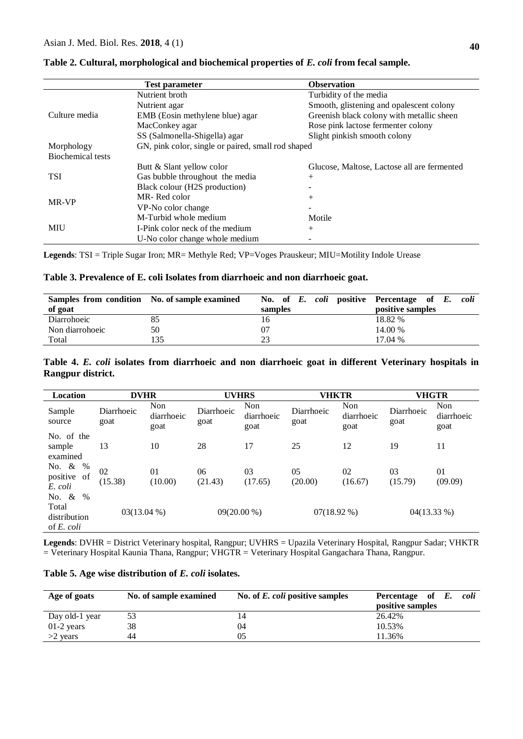|                          | <b>Test parameter</b>                              | <b>Observation</b>                          |
|--------------------------|----------------------------------------------------|---------------------------------------------|
|                          | Nutrient broth                                     | Turbidity of the media                      |
|                          | Nutrient agar                                      | Smooth, glistening and opalescent colony    |
| Culture media            | EMB (Eosin methylene blue) agar                    | Greenish black colony with metallic sheen   |
|                          | MacConkey agar                                     | Rose pink lactose fermenter colony          |
|                          | SS (Salmonella-Shigella) agar                      | Slight pinkish smooth colony                |
| Morphology               | GN, pink color, single or paired, small rod shaped |                                             |
| <b>Biochemical tests</b> |                                                    |                                             |
|                          | Butt & Slant yellow color                          | Glucose, Maltose, Lactose all are fermented |
| <b>TSI</b>               | Gas bubble throughout the media                    | $^{+}$                                      |
|                          | Black colour (H2S production)                      |                                             |
| MR-VP                    | MR-Red color                                       | $^{+}$                                      |
|                          | VP-No color change                                 |                                             |
|                          | M-Turbid whole medium                              | Motile                                      |
| <b>MIU</b>               | I-Pink color neck of the medium                    | $^{+}$                                      |
|                          | U-No color change whole medium                     |                                             |

|  |  | Table 2. Cultural, morphological and biochemical properties of E. coli from fecal sample. |
|--|--|-------------------------------------------------------------------------------------------|
|  |  |                                                                                           |

**Legends**: TSI = Triple Sugar Iron; MR= Methyle Red; VP=Voges Prauskeur; MIU=Motility Indole Urease

### **Table 3. Prevalence of E. coli Isolates from diarrhoeic and non diarrhoeic goat.**

| Samples from condition No. of sample examined |    | No. of E. coli positive Percentage of E. coli |                  |
|-----------------------------------------------|----|-----------------------------------------------|------------------|
| of goat                                       |    | samples                                       | positive samples |
| Diarrohoeic                                   | 85 | 16                                            | 18.82 %          |
| Non diarrohoeic                               | 50 | 07                                            | 14.00 %          |
| Total                                         | 35 | 23                                            | 17.04 %          |

# **Table 4.** *E. coli* **isolates from diarrhoeic and non diarrhoeic goat in different Veterinary hospitals in Rangpur district.**

| <b>Location</b>                        | <b>DVHR</b>        |                           |                    | <b>UVHRS</b>              | <b>VHKTR</b>       |                           |                    | VHGTR                     |
|----------------------------------------|--------------------|---------------------------|--------------------|---------------------------|--------------------|---------------------------|--------------------|---------------------------|
| Sample<br>source                       | Diarrhoeic<br>goat | Non<br>diarrhoeic<br>goat | Diarrhoeic<br>goat | Non<br>diarrhoeic<br>goat | Diarrhoeic<br>goat | Non<br>diarrhoeic<br>goat | Diarrhoeic<br>goat | Non<br>diarrhoeic<br>goat |
| No. of the                             |                    |                           |                    |                           |                    |                           |                    |                           |
| sample                                 | 13                 | 10                        | 28                 | 17                        | 25                 | 12                        | 19                 | 11                        |
| examined                               |                    |                           |                    |                           |                    |                           |                    |                           |
| No. $&$<br>$\%$                        | 02                 | 01                        | 06                 | 03                        | 05                 | 02                        | 03                 | 01                        |
| positive of<br>E. coli                 | (15.38)            | (10.00)                   | (21.43)            | (17.65)                   | (20.00)            | (16.67)                   | (15.79)            | (09.09)                   |
| No. $&$<br>$\%$                        |                    |                           |                    |                           |                    |                           |                    |                           |
| Total<br>distribution<br>of $E$ , coli | $03(13.04\%)$      |                           |                    | $09(20.00\%)$             | $07(18.92\%)$      |                           |                    | $04(13.33\%)$             |

**Legends**: DVHR = District Veterinary hospital, Rangpur; UVHRS = Upazila Veterinary Hospital, Rangpur Sadar; VHKTR  $=$  Veterinary Hospital Kaunia Thana, Rangpur; VHGTR  $=$  Veterinary Hospital Gangachara Thana, Rangpur.

### **Table 5. Age wise distribution of** *E. coli* **isolates.**

| Age of goats   | No. of sample examined | No. of <i>E. coli</i> positive samples | Percentage of $E$ .<br>coli<br>positive samples |
|----------------|------------------------|----------------------------------------|-------------------------------------------------|
| Day old-1 year |                        | ι4                                     | 26.42%                                          |
| $01-2$ years   | 38                     | 04                                     | 10.53%                                          |
| $>2$ years     | 44                     | 05                                     | 11.36%                                          |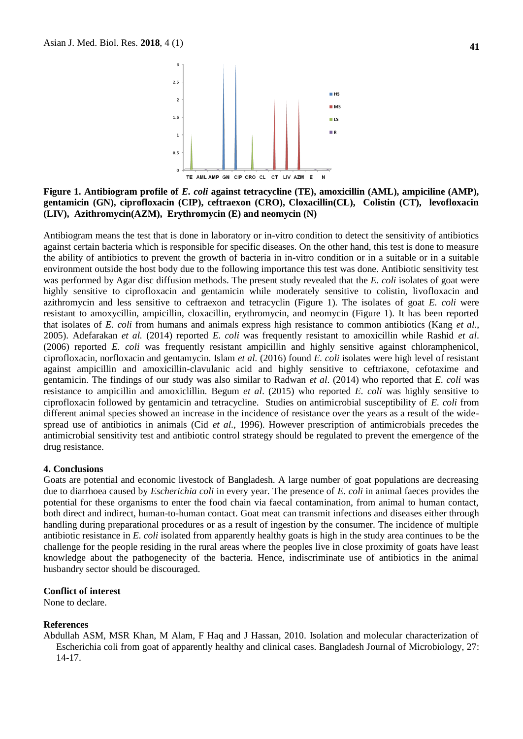

### **Figure 1. Antibiogram profile of** *E. coli* **against tetracycline (TE), amoxicillin (AML), ampiciline (AMP), gentamicin (GN), ciprofloxacin (CIP), ceftraexon (CRO), Cloxacillin(CL), Colistin (CT), levofloxacin (LIV), Azithromycin(AZM), Erythromycin (E) and neomycin (N)**

Antibiogram means the test that is done in laboratory or in-vitro condition to detect the sensitivity of antibiotics against certain bacteria which is responsible for specific diseases. On the other hand, this test is done to measure the ability of antibiotics to prevent the growth of bacteria in in-vitro condition or in a suitable or in a suitable environment outside the host body due to the following importance this test was done. Antibiotic sensitivity test was performed by Agar disc diffusion methods. The present study revealed that the *E. coli* isolates of goat were highly sensitive to ciprofloxacin and gentamicin while moderately sensitive to colistin, livofloxacin and azithromycin and less sensitive to ceftraexon and tetracyclin (Figure 1). The isolates of goat *E. coli* were resistant to amoxycillin, ampicillin, cloxacillin, erythromycin, and neomycin (Figure 1). It has been reported that isolates of *E. coli* from humans and animals express high resistance to common antibiotics (Kang *et al*., 2005). Adefarakan *et al.* (2014) reported *E. coli* was frequently resistant to amoxicillin while Rashid *et al*. (2006) reported *E. coli* was frequently resistant ampicillin and highly sensitive against chloramphenicol, ciprofloxacin, norfloxacin and gentamycin. Islam *et al.* (2016) found *E. coli* isolates were high level of resistant against ampicillin and amoxicillin-clavulanic acid and highly sensitive to ceftriaxone, cefotaxime and gentamicin. The findings of our study was also similar to Radwan *et al*. (2014) who reported that *E. coli* was resistance to ampicillin and amoxiclillin. Begum *et al*. (2015) who reported *E. coli* was highly sensitive to ciprofloxacin followed by gentamicin and tetracycline. Studies on antimicrobial susceptibility of *E. coli* from different animal species showed an increase in the incidence of resistance over the years as a result of the widespread use of antibiotics in animals (Cid *et al*., 1996). However prescription of antimicrobials precedes the antimicrobial sensitivity test and antibiotic control strategy should be regulated to prevent the emergence of the drug resistance.

#### **4. Conclusions**

Goats are potential and economic livestock of Bangladesh. A large number of goat populations are decreasing due to diarrhoea caused by *Escherichia coli* in every year. The presence of *E. coli* in animal faeces provides the potential for these organisms to enter the food chain via faecal contamination, from animal to human contact, both direct and indirect, human-to-human contact. Goat meat can transmit infections and diseases either through handling during preparational procedures or as a result of ingestion by the consumer. The incidence of multiple antibiotic resistance in *E. coli* isolated from apparently healthy goats is high in the study area continues to be the challenge for the people residing in the rural areas where the peoples live in close proximity of goats have least knowledge about the pathogenecity of the bacteria. Hence, indiscriminate use of antibiotics in the animal husbandry sector should be discouraged.

### **Conflict of interest**

None to declare.

#### **References**

Abdullah ASM, MSR Khan, M Alam, F Haq and J Hassan, 2010. Isolation and molecular characterization of Escherichia coli from goat of apparently healthy and clinical cases. Bangladesh Journal of Microbiology, 27: 14-17.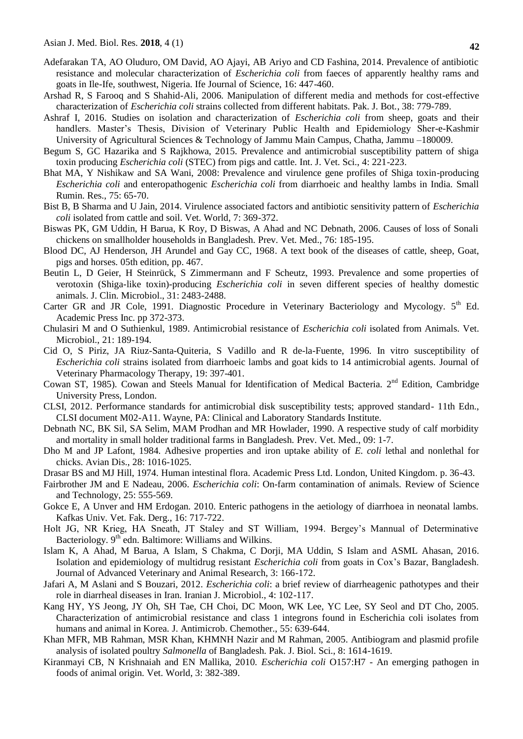- Adefarakan TA, AO Oluduro, OM David, AO Ajayi, AB Ariyo and CD Fashina, 2014. Prevalence of antibiotic resistance and molecular characterization of *Escherichia coli* from faeces of apparently healthy rams and goats in Ile-Ife, southwest, Nigeria. Ife Journal of Science, 16: 447-460.
- Arshad R, S Farooq and S Shahid-Ali, 2006. Manipulation of different media and methods for cost-effective characterization of *Escherichia coli* strains collected from different habitats. Pak. J. Bot., 38: 779-789.
- Ashraf I, 2016. Studies on isolation and characterization of *Escherichia coli* from sheep, goats and their handlers. Master's Thesis, Division of Veterinary Public Health and Epidemiology Sher-e-Kashmir University of Agricultural Sciences & Technology of Jammu Main Campus, Chatha, Jammu –180009.
- Begum S, GC Hazarika and S Rajkhowa, 2015. Prevalence and antimicrobial susceptibility pattern of shiga toxin producing *Escherichia coli* (STEC) from pigs and cattle. Int. J. Vet. Sci., 4: 221-223.
- Bhat MA, Y Nishikaw and SA Wani, 2008: Prevalence and virulence gene profiles of Shiga toxin-producing *Escherichia coli* and enteropathogenic *Escherichia coli* from diarrhoeic and healthy lambs in India. Small Rumin. Res., 75: 65-70.
- Bist B, B Sharma and U Jain, 2014. Virulence associated factors and antibiotic sensitivity pattern of *Escherichia coli* isolated from cattle and soil. Vet. World, 7: 369-372.
- Biswas PK, GM Uddin, H Barua, K Roy, D Biswas, A Ahad and NC Debnath, 2006. Causes of loss of Sonali chickens on smallholder households in Bangladesh. Prev. Vet. Med., 76: 185-195.
- Blood DC, AJ Henderson, JH Arundel and Gay CC, 1968. A text book of the diseases of cattle, sheep, Goat, pigs and horses. 05th edition, pp. 467.
- Beutin L, D Geier, H Steinrück, S Zimmermann and F Scheutz, 1993. Prevalence and some properties of verotoxin (Shiga-like toxin)-producing *Escherichia coli* in seven different species of healthy domestic animals. J. Clin. Microbiol., 31: 2483-2488.
- Carter GR and JR Cole, 1991. Diagnostic Procedure in Veterinary Bacteriology and Mycology. 5<sup>th</sup> Ed. Academic Press Inc. pp 372-373.
- Chulasiri M and O Suthienkul, 1989. Antimicrobial resistance of *Escherichia coli* isolated from Animals. Vet. Microbiol., 21: 189-194.
- Cid O, S Piriz, JA Riuz-Santa-Quiteria, S Vadillo and R de-la-Fuente, 1996. In vitro susceptibility of *Escherichia coli* strains isolated from diarrhoeic lambs and goat kids to 14 antimicrobial agents. Journal of Veterinary Pharmacology Therapy, 19: 397-401.
- Cowan ST, 1985). Cowan and Steels Manual for Identification of Medical Bacteria. 2<sup>nd</sup> Edition, Cambridge University Press, London.
- CLSI, 2012. Performance standards for antimicrobial disk susceptibility tests; approved standard- 11th Edn., CLSI document M02-A11. Wayne, PA: Clinical and Laboratory Standards Institute.
- Debnath NC, BK Sil, SA Selim, MAM Prodhan and MR Howlader, 1990. A respective study of calf morbidity and mortality in small holder traditional farms in Bangladesh. Prev. Vet. Med., 09: 1-7.
- Dho M and JP Lafont, 1984. Adhesive properties and iron uptake ability of *E. coli* lethal and nonlethal for chicks. Avian Dis., 28: 1016-1025.
- Drasar BS and MJ Hill, 1974. Human intestinal flora. Academic Press Ltd. London, United Kingdom. p. 36-43.
- Fairbrother JM and E Nadeau, 2006. *Escherichia coli*: On-farm contamination of animals. Review of Science and Technology, 25: 555-569.
- Gokce E, A Unver and HM Erdogan. 2010. Enteric pathogens in the aetiology of diarrhoea in neonatal lambs. Kafkas Univ. Vet. Fak. Derg., 16: 717-722.
- Holt JG, NR Krieg, HA Sneath, JT Staley and ST William, 1994. Bergey's Mannual of Determinative Bacteriology. 9<sup>th</sup> edn. Baltimore: Williams and Wilkins.
- Islam K, A Ahad, M Barua, A Islam, S Chakma, C Dorji, MA Uddin, S Islam and ASML Ahasan, 2016. Isolation and epidemiology of multidrug resistant *Escherichia coli* from goats in Cox's Bazar, Bangladesh. Journal of Advanced Veterinary and Animal Research, 3: 166-172.
- Jafari A, M Aslani and S Bouzari, 2012. *Escherichia coli*: a brief review of diarrheagenic pathotypes and their role in diarrheal diseases in Iran. Iranian J. Microbiol., 4: 102-117.
- Kang HY, YS Jeong, JY Oh, SH Tae, CH Choi, DC Moon, WK Lee, YC Lee, SY Seol and DT Cho, 2005. Characterization of antimicrobial resistance and class 1 integrons found in Escherichia coli isolates from humans and animal in Korea. J. Antimicrob. Chemother., 55: 639-644.
- Khan MFR, MB Rahman, MSR Khan, KHMNH Nazir and M Rahman, 2005. Antibiogram and plasmid profile analysis of isolated poultry *Salmonella* of Bangladesh. Pak. J. Biol. Sci., 8: 1614-1619.
- Kiranmayi CB, N Krishnaiah and EN Mallika, 2010. *Escherichia coli* O157:H7 An emerging pathogen in foods of animal origin. Vet. World, 3: 382-389.